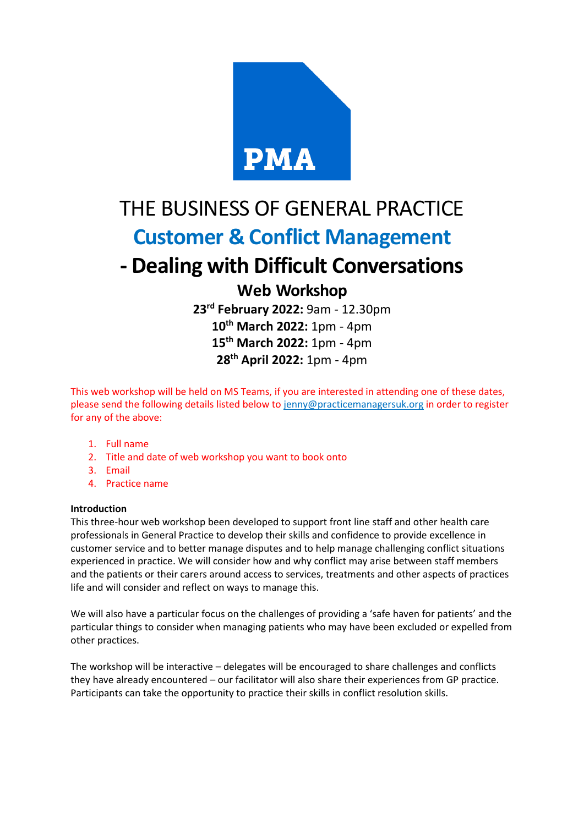

# THE BUSINESS OF GENERAL PRACTICE **Customer & Conflict Management - Dealing with Difficult Conversations Web Workshop**

 **rd February 2022:** 9am - 12.30pm **th March 2022:** 1pm - 4pm **th March 2022:** 1pm - 4pm **th April 2022:** 1pm - 4pm

This web workshop will be held on MS Teams, if you are interested in attending one of these dates, please send the following details listed below to [jenny@practicemanagersuk.org](mailto:jenny@practicemanagersuk.org) in order to register for any of the above:

- 1. Full name
- 2. Title and date of web workshop you want to book onto
- 3. Email
- 4. Practice name

#### **Introduction**

This three-hour web workshop been developed to support front line staff and other health care professionals in General Practice to develop their skills and confidence to provide excellence in customer service and to better manage disputes and to help manage challenging conflict situations experienced in practice. We will consider how and why conflict may arise between staff members and the patients or their carers around access to services, treatments and other aspects of practices life and will consider and reflect on ways to manage this.

We will also have a particular focus on the challenges of providing a 'safe haven for patients' and the particular things to consider when managing patients who may have been excluded or expelled from other practices.

The workshop will be interactive – delegates will be encouraged to share challenges and conflicts they have already encountered – our facilitator will also share their experiences from GP practice. Participants can take the opportunity to practice their skills in conflict resolution skills.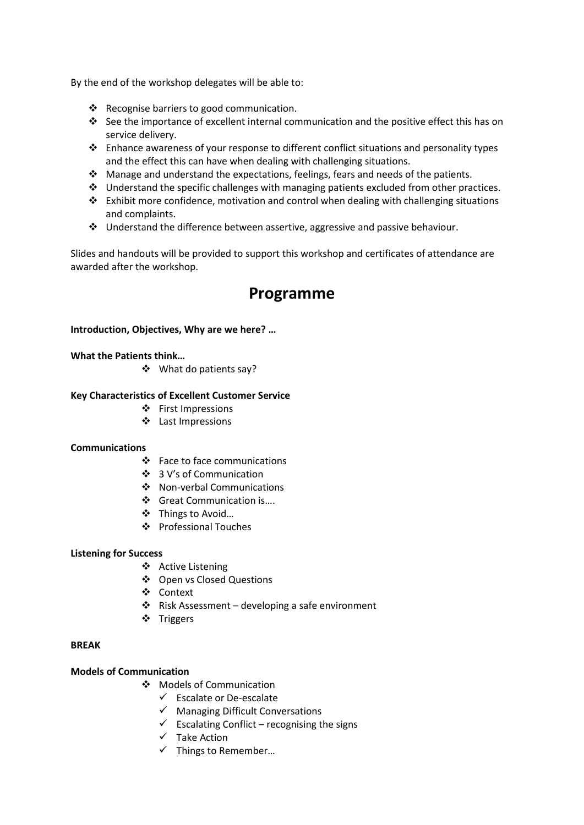By the end of the workshop delegates will be able to:

- ❖ Recognise barriers to good communication.
- ❖ See the importance of excellent internal communication and the positive effect this has on service delivery.
- ❖ Enhance awareness of your response to different conflict situations and personality types and the effect this can have when dealing with challenging situations.
- ❖ Manage and understand the expectations, feelings, fears and needs of the patients.
- ❖ Understand the specific challenges with managing patients excluded from other practices.
- ❖ Exhibit more confidence, motivation and control when dealing with challenging situations and complaints.
- ❖ Understand the difference between assertive, aggressive and passive behaviour.

Slides and handouts will be provided to support this workshop and certificates of attendance are awarded after the workshop.

# **Programme**

### **Introduction, Objectives, Why are we here? …**

#### **What the Patients think…**

❖ What do patients say?

#### **Key Characteristics of Excellent Customer Service**

- ❖ First Impressions
	- ❖ Last Impressions

#### **Communications**

- ❖ Face to face communications
- ❖ 3 V's of Communication
- ❖ Non-verbal Communications
- ❖ Great Communication is….
- ❖ Things to Avoid…
- ❖ Professional Touches

#### **Listening for Success**

- ❖ Active Listening
- ❖ Open vs Closed Questions
- ❖ Context
- ❖ Risk Assessment developing a safe environment
- ❖ Triggers

#### **BREAK**

### **Models of Communication**

- ❖ Models of Communication
	- ✓ Escalate or De-escalate
	- ✓ Managing Difficult Conversations
	- $\checkmark$  Escalating Conflict recognising the signs
	- ✓ Take Action
	- $\checkmark$  Things to Remember...